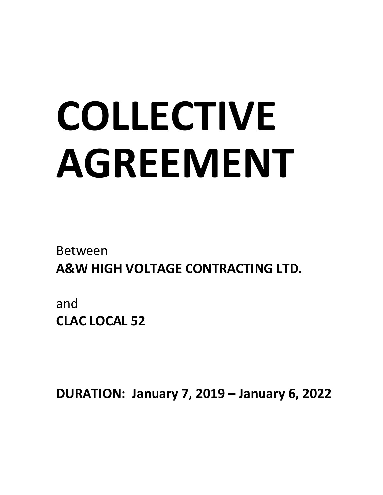# COLLECTIVE AGREEMENT

Between A&W HIGH VOLTAGE CONTRACTING LTD.

and CLAC LOCAL 52

DURATION: January 7, 2019 - January 6, 2022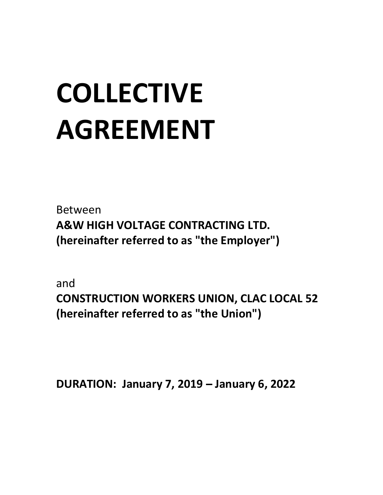## COLLECTIVE AGREEMENT

Between A&W HIGH VOLTAGE CONTRACTING LTD. (hereinafter referred to as "the Employer")

and CONSTRUCTION WORKERS UNION, CLAC LOCAL 52 (hereinafter referred to as "the Union")

DURATION: January 7, 2019 - January 6, 2022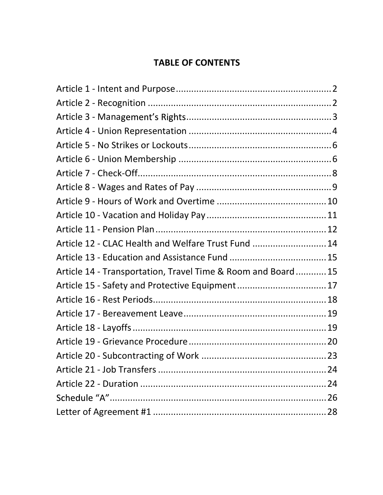#### TABLE OF CONTENTS

| Article 12 - CLAC Health and Welfare Trust Fund  14          |  |
|--------------------------------------------------------------|--|
|                                                              |  |
| Article 14 - Transportation, Travel Time & Room and Board 15 |  |
| Article 15 - Safety and Protective Equipment 17              |  |
|                                                              |  |
|                                                              |  |
|                                                              |  |
|                                                              |  |
|                                                              |  |
|                                                              |  |
|                                                              |  |
|                                                              |  |
|                                                              |  |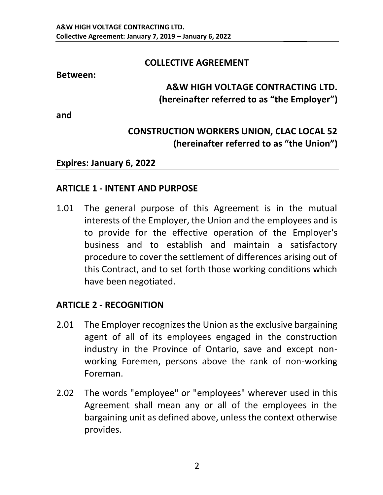#### COLLECTIVE AGREEMENT

#### Between:

#### A&W HIGH VOLTAGE CONTRACTING LTD. (hereinafter referred to as "the Employer")

and

#### CONSTRUCTION WORKERS UNION, CLAC LOCAL 52 (hereinafter referred to as "the Union")

#### Expires: January 6, 2022

#### ARTICLE 1 - INTENT AND PURPOSE

1.01 The general purpose of this Agreement is in the mutual interests of the Employer, the Union and the employees and is to provide for the effective operation of the Employer's business and to establish and maintain a satisfactory procedure to cover the settlement of differences arising out of this Contract, and to set forth those working conditions which have been negotiated.

#### ARTICLE 2 - RECOGNITION

- 2.01 The Employer recognizes the Union as the exclusive bargaining agent of all of its employees engaged in the construction industry in the Province of Ontario, save and except nonworking Foremen, persons above the rank of non-working Foreman.
- 2.02 The words "employee" or "employees" wherever used in this Agreement shall mean any or all of the employees in the bargaining unit as defined above, unless the context otherwise provides.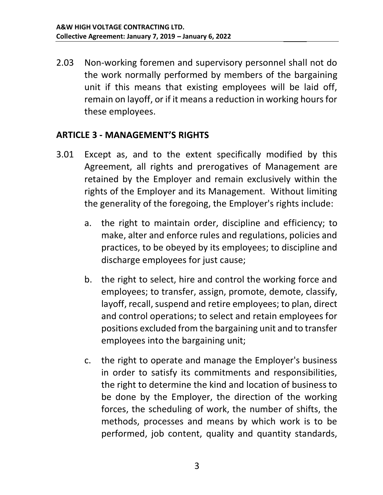2.03 Non-working foremen and supervisory personnel shall not do the work normally performed by members of the bargaining unit if this means that existing employees will be laid off, remain on layoff, or if it means a reduction in working hours for these employees.

#### ARTICLE 3 -

- 3.01 Except as, and to the extent specifically modified by this Agreement, all rights and prerogatives of Management are retained by the Employer and remain exclusively within the rights of the Employer and its Management. Without limiting the generality of the foregoing, the Employer's rights include:
	- a. the right to maintain order, discipline and efficiency; to make, alter and enforce rules and regulations, policies and practices, to be obeyed by its employees; to discipline and discharge employees for just cause;
	- b. the right to select, hire and control the working force and employees; to transfer, assign, promote, demote, classify, layoff, recall, suspend and retire employees; to plan, direct and control operations; to select and retain employees for positions excluded from the bargaining unit and to transfer employees into the bargaining unit;
	- c. the right to operate and manage the Employer's business in order to satisfy its commitments and responsibilities, the right to determine the kind and location of business to be done by the Employer, the direction of the working forces, the scheduling of work, the number of shifts, the methods, processes and means by which work is to be performed, job content, quality and quantity standards,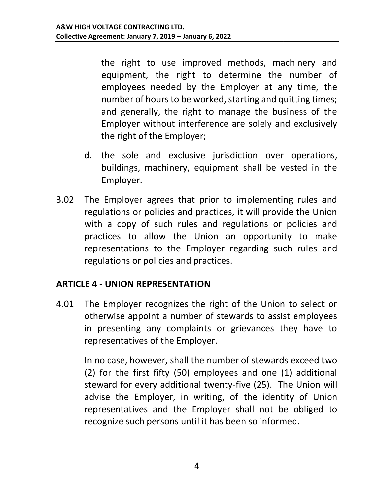the right to use improved methods, machinery and equipment, the right to determine the number of employees needed by the Employer at any time, the number of hours to be worked, starting and quitting times; and generally, the right to manage the business of the Employer without interference are solely and exclusively the right of the Employer;

- d. the sole and exclusive jurisdiction over operations, buildings, machinery, equipment shall be vested in the Employer.
- 3.02 The Employer agrees that prior to implementing rules and regulations or policies and practices, it will provide the Union with a copy of such rules and regulations or policies and practices to allow the Union an opportunity to make representations to the Employer regarding such rules and regulations or policies and practices.

#### ARTICLE 4 - UNION REPRESENTATION

4.01 The Employer recognizes the right of the Union to select or otherwise appoint a number of stewards to assist employees in presenting any complaints or grievances they have to representatives of the Employer.

In no case, however, shall the number of stewards exceed two (2) for the first fifty (50) employees and one (1) additional steward for every additional twenty-five (25). The Union will advise the Employer, in writing, of the identity of Union representatives and the Employer shall not be obliged to recognize such persons until it has been so informed.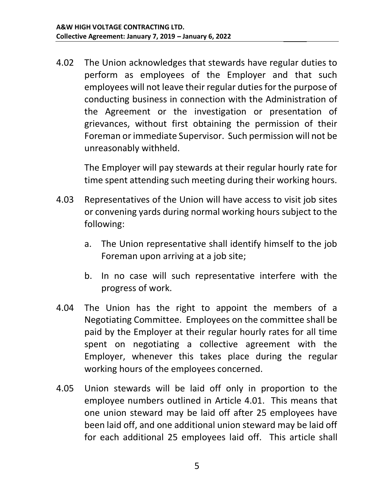4.02 The Union acknowledges that stewards have regular duties to perform as employees of the Employer and that such employees will not leave their regular duties for the purpose of conducting business in connection with the Administration of the Agreement or the investigation or presentation of grievances, without first obtaining the permission of their Foreman or immediate Supervisor. Such permission will not be unreasonably withheld.

The Employer will pay stewards at their regular hourly rate for time spent attending such meeting during their working hours.

- 4.03 Representatives of the Union will have access to visit job sites or convening yards during normal working hours subject to the following:
	- a. The Union representative shall identify himself to the job Foreman upon arriving at a job site;
	- b. In no case will such representative interfere with the progress of work.
- 4.04 The Union has the right to appoint the members of a Negotiating Committee. Employees on the committee shall be paid by the Employer at their regular hourly rates for all time spent on negotiating a collective agreement with the Employer, whenever this takes place during the regular working hours of the employees concerned.
- 4.05 Union stewards will be laid off only in proportion to the employee numbers outlined in Article 4.01. This means that one union steward may be laid off after 25 employees have been laid off, and one additional union steward may be laid off for each additional 25 employees laid off. This article shall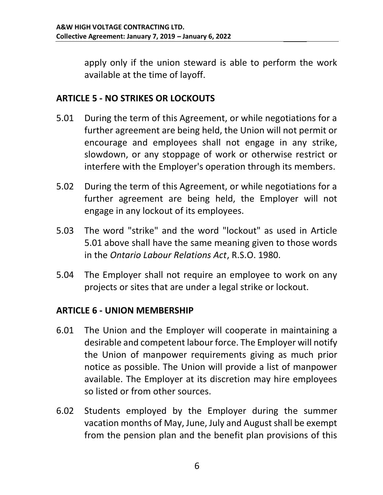apply only if the union steward is able to perform the work available at the time of layoff.

#### ARTICLE 5 - NO STRIKES OR LOCKOUTS

- 5.01 During the term of this Agreement, or while negotiations for a further agreement are being held, the Union will not permit or encourage and employees shall not engage in any strike, slowdown, or any stoppage of work or otherwise restrict or interfere with the Employer's operation through its members.
- 5.02 During the term of this Agreement, or while negotiations for a further agreement are being held, the Employer will not engage in any lockout of its employees.
- 5.03 The word "strike" and the word "lockout" as used in Article 5.01 above shall have the same meaning given to those words in the Ontario Labour Relations Act, R.S.O. 1980.
- 5.04 The Employer shall not require an employee to work on any projects or sites that are under a legal strike or lockout.

#### ARTICLE 6 - UNION MEMBERSHIP

- 6.01 The Union and the Employer will cooperate in maintaining a desirable and competent labour force. The Employer will notify the Union of manpower requirements giving as much prior notice as possible. The Union will provide a list of manpower available. The Employer at its discretion may hire employees so listed or from other sources.
- 6.02 Students employed by the Employer during the summer vacation months of May, June, July and August shall be exempt from the pension plan and the benefit plan provisions of this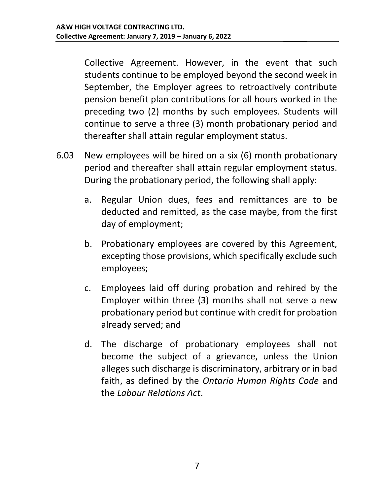Collective Agreement. However, in the event that such students continue to be employed beyond the second week in September, the Employer agrees to retroactively contribute pension benefit plan contributions for all hours worked in the preceding two (2) months by such employees. Students will continue to serve a three (3) month probationary period and thereafter shall attain regular employment status.

- 6.03 New employees will be hired on a six (6) month probationary period and thereafter shall attain regular employment status. During the probationary period, the following shall apply:
	- a. Regular Union dues, fees and remittances are to be deducted and remitted, as the case maybe, from the first day of employment;
	- b. Probationary employees are covered by this Agreement, excepting those provisions, which specifically exclude such employees;
	- c. Employees laid off during probation and rehired by the Employer within three (3) months shall not serve a new probationary period but continue with credit for probation already served; and
	- d. The discharge of probationary employees shall not become the subject of a grievance, unless the Union alleges such discharge is discriminatory, arbitrary or in bad faith, as defined by the Ontario Human Rights Code and the Labour Relations Act.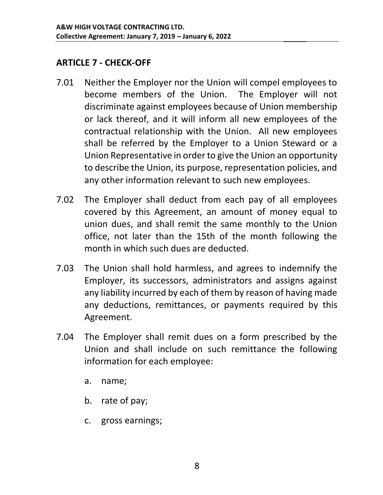#### ARTICLE 7 - CHECK-OFF

- 7.01 Neither the Employer nor the Union will compel employees to become members of the Union. The Employer will not discriminate against employees because of Union membership or lack thereof, and it will inform all new employees of the contractual relationship with the Union. All new employees shall be referred by the Employer to a Union Steward or a Union Representative in order to give the Union an opportunity to describe the Union, its purpose, representation policies, and any other information relevant to such new employees.
- 7.02 The Employer shall deduct from each pay of all employees covered by this Agreement, an amount of money equal to union dues, and shall remit the same monthly to the Union office, not later than the 15th of the month following the month in which such dues are deducted.
- 7.03 The Union shall hold harmless, and agrees to indemnify the Employer, its successors, administrators and assigns against any liability incurred by each of them by reason of having made any deductions, remittances, or payments required by this Agreement.
- 7.04 The Employer shall remit dues on a form prescribed by the Union and shall include on such remittance the following information for each employee:
	- a. name;
	- b. rate of pay;
	- c. gross earnings;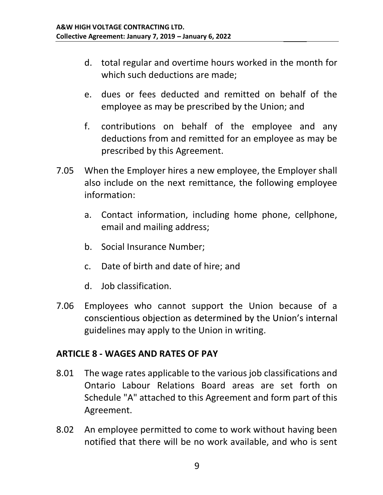- d. total regular and overtime hours worked in the month for which such deductions are made;
- e. dues or fees deducted and remitted on behalf of the employee as may be prescribed by the Union; and
- f. contributions on behalf of the employee and any deductions from and remitted for an employee as may be prescribed by this Agreement.
- 7.05 When the Employer hires a new employee, the Employer shall also include on the next remittance, the following employee information:
	- a. Contact information, including home phone, cellphone, email and mailing address;
	- b. Social Insurance Number;
	- c. Date of birth and date of hire; and
	- d. Job classification.
- 7.06 Employees who cannot support the Union because of a conscientious objection as determined by the Union's internal guidelines may apply to the Union in writing.

#### ARTICLE 8 - WAGES AND RATES OF PAY

- 8.01 The wage rates applicable to the various job classifications and Ontario Labour Relations Board areas are set forth on Schedule "A" attached to this Agreement and form part of this Agreement.
- 8.02 An employee permitted to come to work without having been notified that there will be no work available, and who is sent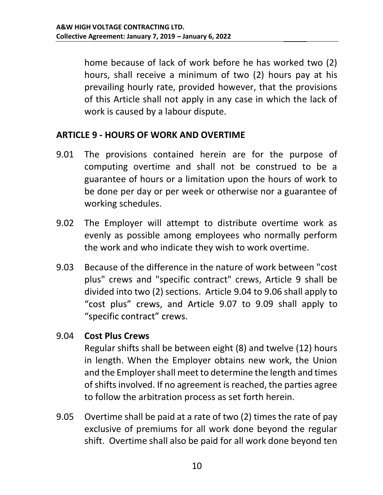home because of lack of work before he has worked two (2) hours, shall receive a minimum of two (2) hours pay at his prevailing hourly rate, provided however, that the provisions of this Article shall not apply in any case in which the lack of work is caused by a labour dispute.

#### ARTICLE 9 - HOURS OF WORK AND OVERTIME

- 9.01 The provisions contained herein are for the purpose of computing overtime and shall not be construed to be a guarantee of hours or a limitation upon the hours of work to be done per day or per week or otherwise nor a guarantee of working schedules.
- 9.02 The Employer will attempt to distribute overtime work as evenly as possible among employees who normally perform the work and who indicate they wish to work overtime.
- 9.03 Because of the difference in the nature of work between "cost plus" crews and "specific contract" crews, Article 9 shall be divided into two (2) sections. Article 9.04 to 9.06 shall apply to "cost plus" crews, and Article 9.07 to 9.09 shall apply to "specific contract" crews.

#### 9.04 Cost Plus Crews

Regular shifts shall be between eight (8) and twelve (12) hours in length. When the Employer obtains new work, the Union and the Employer shall meet to determine the length and times of shifts involved. If no agreement is reached, the parties agree to follow the arbitration process as set forth herein.

9.05 Overtime shall be paid at a rate of two (2) times the rate of pay exclusive of premiums for all work done beyond the regular shift. Overtime shall also be paid for all work done beyond ten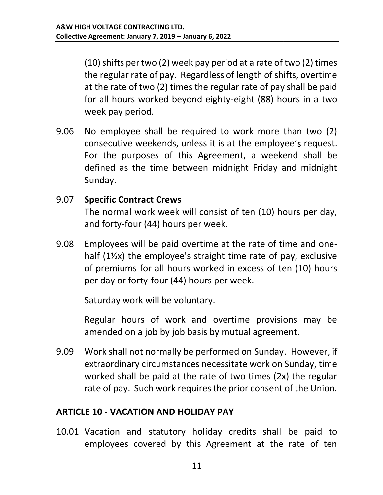(10) shifts per two (2) week pay period at a rate of two (2) times the regular rate of pay. Regardless of length of shifts, overtime at the rate of two (2) times the regular rate of pay shall be paid for all hours worked beyond eighty-eight (88) hours in a two week pay period.

9.06 No employee shall be required to work more than two (2) consecutive weekends, unless it is at the employee's request. For the purposes of this Agreement, a weekend shall be defined as the time between midnight Friday and midnight Sunday.

#### 9.07 Specific Contract Crews

The normal work week will consist of ten (10) hours per day, and forty-four (44) hours per week.

9.08 Employees will be paid overtime at the rate of time and onehalf (1½x) the employee's straight time rate of pay, exclusive of premiums for all hours worked in excess of ten (10) hours per day or forty-four (44) hours per week.

Saturday work will be voluntary.

Regular hours of work and overtime provisions may be amended on a job by job basis by mutual agreement.

9.09 Work shall not normally be performed on Sunday. However, if extraordinary circumstances necessitate work on Sunday, time worked shall be paid at the rate of two times (2x) the regular rate of pay. Such work requires the prior consent of the Union.

#### ARTICLE 10 - VACATION AND HOLIDAY PAY

10.01 Vacation and statutory holiday credits shall be paid to employees covered by this Agreement at the rate of ten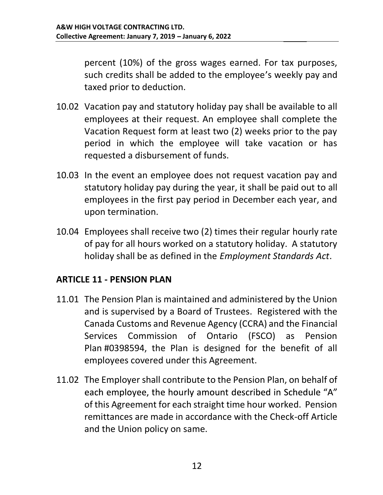percent (10%) of the gross wages earned. For tax purposes, such credits shall be added to the employee's weekly pay and taxed prior to deduction.

- 10.02 Vacation pay and statutory holiday pay shall be available to all employees at their request. An employee shall complete the Vacation Request form at least two (2) weeks prior to the pay period in which the employee will take vacation or has requested a disbursement of funds.
- 10.03 In the event an employee does not request vacation pay and statutory holiday pay during the year, it shall be paid out to all employees in the first pay period in December each year, and upon termination.
- 10.04 Employees shall receive two (2) times their regular hourly rate of pay for all hours worked on a statutory holiday. A statutory holiday shall be as defined in the Employment Standards Act.

#### ARTICLE 11 - PENSION PLAN

- 11.01 The Pension Plan is maintained and administered by the Union and is supervised by a Board of Trustees. Registered with the Canada Customs and Revenue Agency (CCRA) and the Financial Services Commission of Ontario (FSCO) as Pension Plan #0398594, the Plan is designed for the benefit of all employees covered under this Agreement.
- 11.02 The Employer shall contribute to the Pension Plan, on behalf of each employee, the hourly amount described in Schedule "A" of this Agreement for each straight time hour worked. Pension remittances are made in accordance with the Check-off Article and the Union policy on same.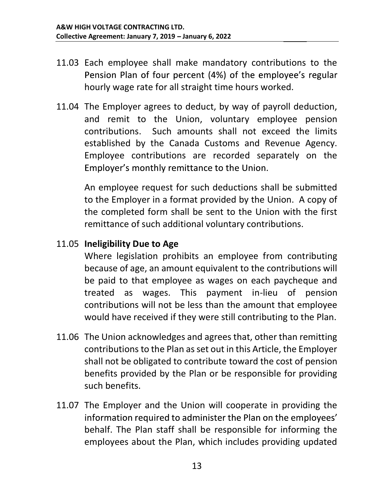- 11.03 Each employee shall make mandatory contributions to the Pension Plan of four percent (4%) of the employee's regular hourly wage rate for all straight time hours worked.
- 11.04 The Employer agrees to deduct, by way of payroll deduction, and remit to the Union, voluntary employee pension contributions. Such amounts shall not exceed the limits established by the Canada Customs and Revenue Agency. Employee contributions are recorded separately on the Employer's monthly remittance to the Union.

An employee request for such deductions shall be submitted to the Employer in a format provided by the Union. A copy of the completed form shall be sent to the Union with the first remittance of such additional voluntary contributions.

#### 11.05 Ineligibility Due to Age

Where legislation prohibits an employee from contributing because of age, an amount equivalent to the contributions will be paid to that employee as wages on each paycheque and treated as wages. This payment in-lieu of pension contributions will not be less than the amount that employee would have received if they were still contributing to the Plan.

- 11.06 The Union acknowledges and agrees that, other than remitting contributions to the Plan as set out in this Article, the Employer shall not be obligated to contribute toward the cost of pension benefits provided by the Plan or be responsible for providing such benefits.
- 11.07 The Employer and the Union will cooperate in providing the information required to administer the Plan on the employees' behalf. The Plan staff shall be responsible for informing the employees about the Plan, which includes providing updated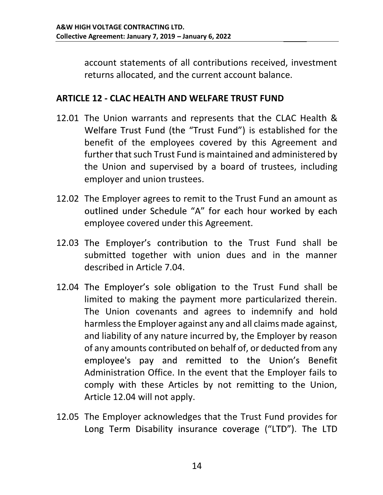account statements of all contributions received, investment returns allocated, and the current account balance.

#### ARTICLE 12 - CLAC HEALTH AND WELFARE TRUST FUND

- 12.01 The Union warrants and represents that the CLAC Health & Welfare Trust Fund (the "Trust Fund") is established for the benefit of the employees covered by this Agreement and further that such Trust Fund is maintained and administered by the Union and supervised by a board of trustees, including employer and union trustees.
- 12.02 The Employer agrees to remit to the Trust Fund an amount as outlined under Schedule "A" for each hour worked by each employee covered under this Agreement.
- 12.03 The Employer's contribution to the Trust Fund shall be submitted together with union dues and in the manner described in Article 7.04.
- 12.04 The Employer's sole obligation to the Trust Fund shall be limited to making the payment more particularized therein. The Union covenants and agrees to indemnify and hold harmless the Employer against any and all claims made against, and liability of any nature incurred by, the Employer by reason of any amounts contributed on behalf of, or deducted from any employee's pay and remitted to the Union's Benefit Administration Office. In the event that the Employer fails to comply with these Articles by not remitting to the Union, Article 12.04 will not apply.
- 12.05 The Employer acknowledges that the Trust Fund provides for Long Term Disability insurance coverage ("LTD"). The LTD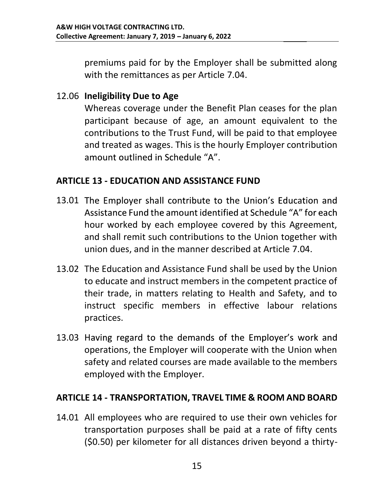premiums paid for by the Employer shall be submitted along with the remittances as per Article 7.04.

#### 12.06 Ineligibility Due to Age

Whereas coverage under the Benefit Plan ceases for the plan participant because of age, an amount equivalent to the contributions to the Trust Fund, will be paid to that employee and treated as wages. This is the hourly Employer contribution amount outlined in Schedule "A".

#### ARTICLE 13 - EDUCATION AND ASSISTANCE FUND

- 13.01 The Employer shall contribute to the Union's Education and Assistance Fund the amount identified at Schedule "A" for each hour worked by each employee covered by this Agreement, and shall remit such contributions to the Union together with union dues, and in the manner described at Article 7.04.
- 13.02 The Education and Assistance Fund shall be used by the Union to educate and instruct members in the competent practice of their trade, in matters relating to Health and Safety, and to instruct specific members in effective labour relations practices.
- 13.03 Having regard to the demands of the Employer's work and operations, the Employer will cooperate with the Union when safety and related courses are made available to the members employed with the Employer.

#### ARTICLE 14 - TRANSPORTATION, TRAVEL TIME & ROOM AND BOARD

14.01 All employees who are required to use their own vehicles for transportation purposes shall be paid at a rate of fifty cents (\$0.50) per kilometer for all distances driven beyond a thirty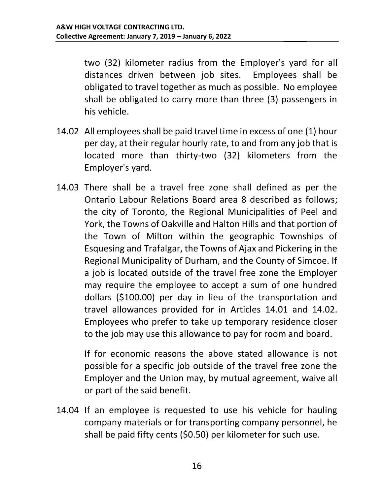two (32) kilometer radius from the Employer's yard for all distances driven between job sites. Employees shall be obligated to travel together as much as possible. No employee shall be obligated to carry more than three (3) passengers in his vehicle.

- 14.02 All employees shall be paid travel time in excess of one (1) hour per day, at their regular hourly rate, to and from any job that is located more than thirty-two (32) kilometers from the Employer's yard.
- 14.03 There shall be a travel free zone shall defined as per the Ontario Labour Relations Board area 8 described as follows; the city of Toronto, the Regional Municipalities of Peel and York, the Towns of Oakville and Halton Hills and that portion of the Town of Milton within the geographic Townships of Esquesing and Trafalgar, the Towns of Ajax and Pickering in the Regional Municipality of Durham, and the County of Simcoe. If a job is located outside of the travel free zone the Employer may require the employee to accept a sum of one hundred dollars (\$100.00) per day in lieu of the transportation and travel allowances provided for in Articles 14.01 and 14.02. Employees who prefer to take up temporary residence closer to the job may use this allowance to pay for room and board.

If for economic reasons the above stated allowance is not possible for a specific job outside of the travel free zone the Employer and the Union may, by mutual agreement, waive all or part of the said benefit.

14.04 If an employee is requested to use his vehicle for hauling company materials or for transporting company personnel, he shall be paid fifty cents (\$0.50) per kilometer for such use.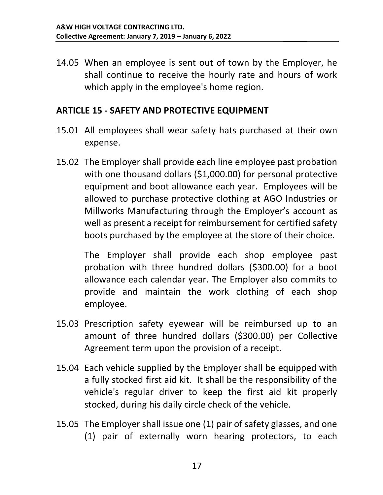14.05 When an employee is sent out of town by the Employer, he shall continue to receive the hourly rate and hours of work which apply in the employee's home region.

#### ARTICLE 15 - SAFETY AND PROTECTIVE EQUIPMENT

- 15.01 All employees shall wear safety hats purchased at their own expense.
- 15.02 The Employer shall provide each line employee past probation with one thousand dollars (\$1,000.00) for personal protective equipment and boot allowance each year. Employees will be allowed to purchase protective clothing at AGO Industries or Millworks Manufacturing through the Employer's account as well as present a receipt for reimbursement for certified safety boots purchased by the employee at the store of their choice.

The Employer shall provide each shop employee past probation with three hundred dollars (\$300.00) for a boot allowance each calendar year. The Employer also commits to provide and maintain the work clothing of each shop employee.

- 15.03 Prescription safety eyewear will be reimbursed up to an amount of three hundred dollars (\$300.00) per Collective Agreement term upon the provision of a receipt.
- 15.04 Each vehicle supplied by the Employer shall be equipped with a fully stocked first aid kit. It shall be the responsibility of the vehicle's regular driver to keep the first aid kit properly stocked, during his daily circle check of the vehicle.
- 15.05 The Employer shall issue one (1) pair of safety glasses, and one (1) pair of externally worn hearing protectors, to each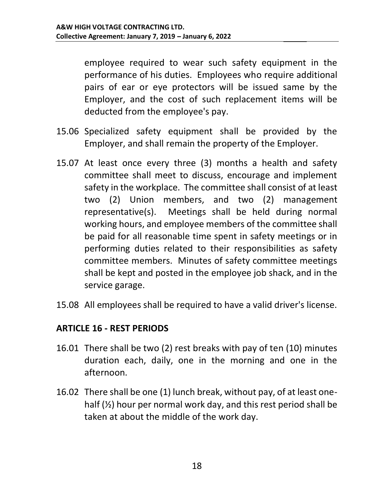employee required to wear such safety equipment in the performance of his duties. Employees who require additional pairs of ear or eye protectors will be issued same by the Employer, and the cost of such replacement items will be deducted from the employee's pay.

- 15.06 Specialized safety equipment shall be provided by the Employer, and shall remain the property of the Employer.
- 15.07 At least once every three (3) months a health and safety committee shall meet to discuss, encourage and implement safety in the workplace. The committee shall consist of at least two (2) Union members, and two (2) management representative(s). Meetings shall be held during normal working hours, and employee members of the committee shall be paid for all reasonable time spent in safety meetings or in performing duties related to their responsibilities as safety committee members. Minutes of safety committee meetings shall be kept and posted in the employee job shack, and in the service garage.
- 15.08 All employees shall be required to have a valid driver's license.

#### ARTICLE 16 - REST PERIODS

- 16.01 There shall be two (2) rest breaks with pay of ten (10) minutes duration each, daily, one in the morning and one in the afternoon.
- 16.02 There shall be one (1) lunch break, without pay, of at least onehalf (½) hour per normal work day, and this rest period shall be taken at about the middle of the work day.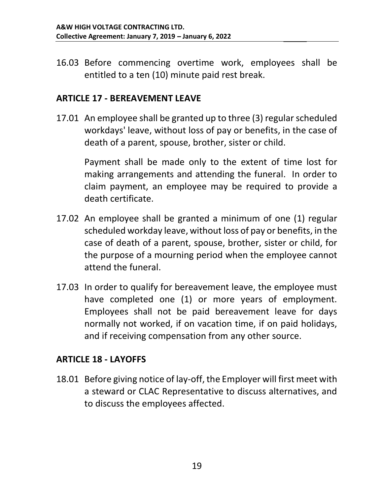16.03 Before commencing overtime work, employees shall be entitled to a ten (10) minute paid rest break.

#### ARTICLE 17 - BEREAVEMENT LEAVE

17.01 An employee shall be granted up to three (3) regular scheduled workdays' leave, without loss of pay or benefits, in the case of death of a parent, spouse, brother, sister or child.

Payment shall be made only to the extent of time lost for making arrangements and attending the funeral. In order to claim payment, an employee may be required to provide a death certificate.

- 17.02 An employee shall be granted a minimum of one (1) regular scheduled workday leave, without loss of pay or benefits, in the case of death of a parent, spouse, brother, sister or child, for the purpose of a mourning period when the employee cannot attend the funeral.
- 17.03 In order to qualify for bereavement leave, the employee must have completed one (1) or more years of employment. Employees shall not be paid bereavement leave for days normally not worked, if on vacation time, if on paid holidays, and if receiving compensation from any other source.

#### ARTICLE 18 - LAYOFFS

18.01 Before giving notice of lay-off, the Employer will first meet with a steward or CLAC Representative to discuss alternatives, and to discuss the employees affected.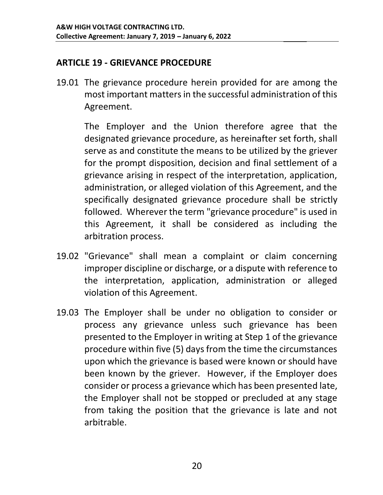#### ARTICLE 19 - GRIEVANCE PROCEDURE

19.01 The grievance procedure herein provided for are among the most important matters in the successful administration of this Agreement.

The Employer and the Union therefore agree that the designated grievance procedure, as hereinafter set forth, shall serve as and constitute the means to be utilized by the griever for the prompt disposition, decision and final settlement of a grievance arising in respect of the interpretation, application, administration, or alleged violation of this Agreement, and the specifically designated grievance procedure shall be strictly followed. Wherever the term "grievance procedure" is used in this Agreement, it shall be considered as including the arbitration process.

- 19.02 "Grievance" shall mean a complaint or claim concerning improper discipline or discharge, or a dispute with reference to the interpretation, application, administration or alleged violation of this Agreement.
- 19.03 The Employer shall be under no obligation to consider or process any grievance unless such grievance has been presented to the Employer in writing at Step 1 of the grievance procedure within five (5) days from the time the circumstances upon which the grievance is based were known or should have been known by the griever. However, if the Employer does consider or process a grievance which has been presented late, the Employer shall not be stopped or precluded at any stage from taking the position that the grievance is late and not arbitrable.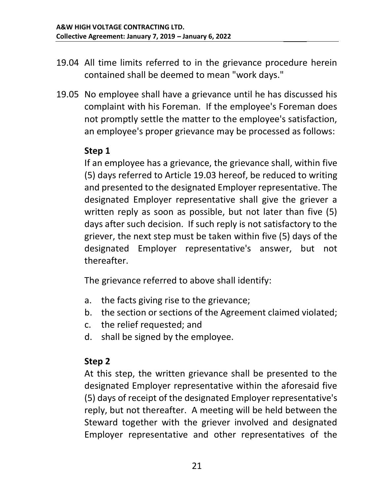- 19.04 All time limits referred to in the grievance procedure herein contained shall be deemed to mean "work days."
- 19.05 No employee shall have a grievance until he has discussed his complaint with his Foreman. If the employee's Foreman does not promptly settle the matter to the employee's satisfaction, an employee's proper grievance may be processed as follows:

#### Step 1

If an employee has a grievance, the grievance shall, within five (5) days referred to Article 19.03 hereof, be reduced to writing and presented to the designated Employer representative. The designated Employer representative shall give the griever a written reply as soon as possible, but not later than five (5) days after such decision. If such reply is not satisfactory to the griever, the next step must be taken within five (5) days of the designated Employer representative's answer, but not thereafter.

The grievance referred to above shall identify:

- a. the facts giving rise to the grievance;
- b. the section or sections of the Agreement claimed violated;
- c. the relief requested; and
- d. shall be signed by the employee.

#### Step 2

At this step, the written grievance shall be presented to the designated Employer representative within the aforesaid five (5) days of receipt of the designated Employer representative's reply, but not thereafter. A meeting will be held between the Steward together with the griever involved and designated Employer representative and other representatives of the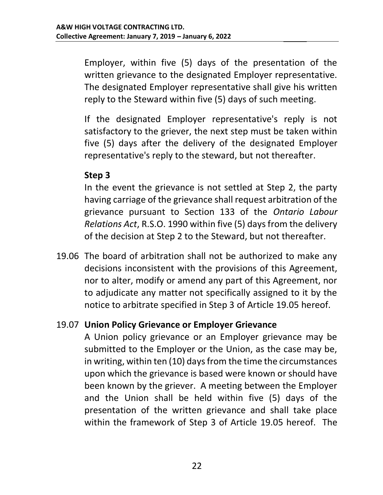Employer, within five (5) days of the presentation of the written grievance to the designated Employer representative. The designated Employer representative shall give his written reply to the Steward within five (5) days of such meeting.

If the designated Employer representative's reply is not satisfactory to the griever, the next step must be taken within five (5) days after the delivery of the designated Employer representative's reply to the steward, but not thereafter.

#### Step 3

In the event the grievance is not settled at Step 2, the party having carriage of the grievance shall request arbitration of the grievance pursuant to Section 133 of the Ontario Labour Relations Act, R.S.O. 1990 within five (5) days from the delivery of the decision at Step 2 to the Steward, but not thereafter.

19.06 The board of arbitration shall not be authorized to make any decisions inconsistent with the provisions of this Agreement, nor to alter, modify or amend any part of this Agreement, nor to adjudicate any matter not specifically assigned to it by the notice to arbitrate specified in Step 3 of Article 19.05 hereof.

#### 19.07 Union Policy Grievance or Employer Grievance

A Union policy grievance or an Employer grievance may be submitted to the Employer or the Union, as the case may be, in writing, within ten (10) days from the time the circumstances upon which the grievance is based were known or should have been known by the griever. A meeting between the Employer and the Union shall be held within five (5) days of the presentation of the written grievance and shall take place within the framework of Step 3 of Article 19.05 hereof. The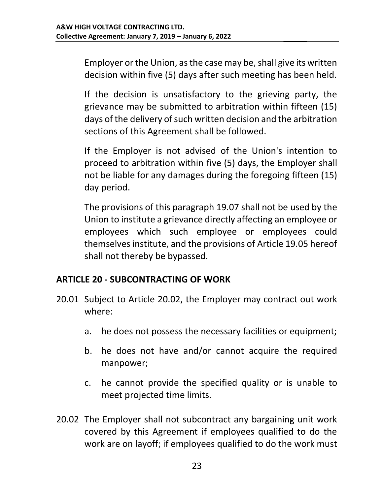Employer or the Union, as the case may be, shall give its written decision within five (5) days after such meeting has been held.

If the decision is unsatisfactory to the grieving party, the grievance may be submitted to arbitration within fifteen (15) days of the delivery of such written decision and the arbitration sections of this Agreement shall be followed.

If the Employer is not advised of the Union's intention to proceed to arbitration within five (5) days, the Employer shall not be liable for any damages during the foregoing fifteen (15) day period.

The provisions of this paragraph 19.07 shall not be used by the Union to institute a grievance directly affecting an employee or employees which such employee or employees could themselves institute, and the provisions of Article 19.05 hereof shall not thereby be bypassed.

#### ARTICLE 20 - SUBCONTRACTING OF WORK

- 20.01 Subject to Article 20.02, the Employer may contract out work where:
	- a. he does not possess the necessary facilities or equipment;
	- b. he does not have and/or cannot acquire the required manpower;
	- c. he cannot provide the specified quality or is unable to meet projected time limits.
- 20.02 The Employer shall not subcontract any bargaining unit work covered by this Agreement if employees qualified to do the work are on layoff; if employees qualified to do the work must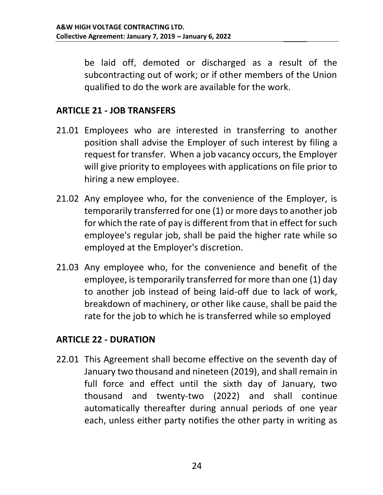be laid off, demoted or discharged as a result of the subcontracting out of work; or if other members of the Union qualified to do the work are available for the work.

#### ARTICLE 21 - JOB TRANSFERS

- 21.01 Employees who are interested in transferring to another position shall advise the Employer of such interest by filing a request for transfer. When a job vacancy occurs, the Employer will give priority to employees with applications on file prior to hiring a new employee.
- 21.02 Any employee who, for the convenience of the Employer, is temporarily transferred for one (1) or more days to another job for which the rate of pay is different from that in effect for such employee's regular job, shall be paid the higher rate while so employed at the Employer's discretion.
- 21.03 Any employee who, for the convenience and benefit of the employee, is temporarily transferred for more than one (1) day to another job instead of being laid-off due to lack of work, breakdown of machinery, or other like cause, shall be paid the rate for the job to which he is transferred while so employed

#### ARTICLE 22 - DURATION

22.01 This Agreement shall become effective on the seventh day of January two thousand and nineteen (2019), and shall remain in full force and effect until the sixth day of January, two thousand and twenty-two (2022) and shall continue automatically thereafter during annual periods of one year each, unless either party notifies the other party in writing as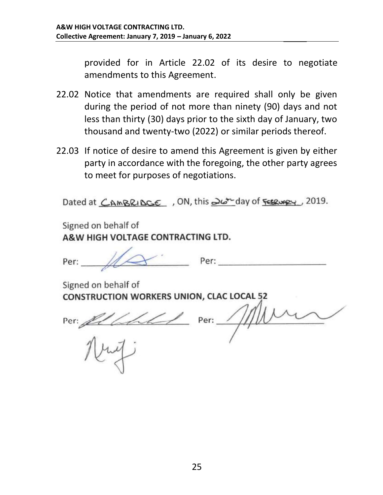provided for in Article 22.02 of its desire to negotiate amendments to this Agreement.

- 22.02 Notice that amendments are required shall only be given during the period of not more than ninety (90) days and not less than thirty (30) days prior to the sixth day of January, two thousand and twenty-two (2022) or similar periods thereof.
- 22.03 If notice of desire to amend this Agreement is given by either party in accordance with the foregoing, the other party agrees to meet for purposes of negotiations.

Dated at CAMBRIDGE, ON, this 26<sup>+</sup> day of **FERUPRY**, 2019.

Signed on behalf of A&W HIGH VOLTAGE CONTRACTING LTD.

Per:

 $Perr$ 

Signed on behalf of **CONSTRUCTION WORKERS UNION, CLAC LOCAL 52** 

Per:  $21441$ 

Per:  $\frac{1}{1}$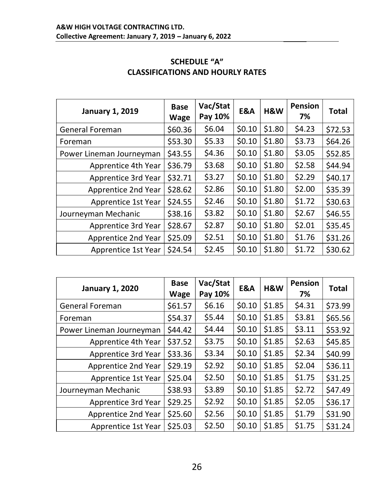| <b>January 1, 2019</b>     | <b>Base</b><br><b>Wage</b> | Vac/Stat<br>Pay 10% | E&A    | H&W    | <b>Pension</b><br>7% | <b>Total</b> |
|----------------------------|----------------------------|---------------------|--------|--------|----------------------|--------------|
| <b>General Foreman</b>     | \$60.36                    | \$6.04              | \$0.10 | \$1.80 | \$4.23               | \$72.53      |
| Foreman                    | \$53.30                    | \$5.33              | \$0.10 | \$1.80 | \$3.73               | \$64.26      |
| Power Lineman Journeyman   | \$43.55                    | \$4.36              | \$0.10 | \$1.80 | \$3.05               | \$52.85      |
| Apprentice 4th Year        | \$36.79                    | \$3.68              | \$0.10 | \$1.80 | \$2.58               | \$44.94      |
| <b>Apprentice 3rd Year</b> | \$32.71                    | \$3.27              | \$0.10 | \$1.80 | \$2.29               | \$40.17      |
| <b>Apprentice 2nd Year</b> | \$28.62                    | \$2.86              | \$0.10 | \$1.80 | \$2.00               | \$35.39      |
| <b>Apprentice 1st Year</b> | \$24.55                    | \$2.46              | \$0.10 | \$1.80 | \$1.72               | \$30.63      |
| Journeyman Mechanic        | \$38.16                    | \$3.82              | \$0.10 | \$1.80 | \$2.67               | \$46.55      |
| <b>Apprentice 3rd Year</b> | \$28.67                    | \$2.87              | \$0.10 | \$1.80 | \$2.01               | \$35.45      |
| <b>Apprentice 2nd Year</b> | \$25.09                    | \$2.51              | \$0.10 | \$1.80 | \$1.76               | \$31.26      |
| <b>Apprentice 1st Year</b> | \$24.54                    | \$2.45              | \$0.10 | \$1.80 | \$1.72               | \$30.62      |

#### **SCHEDULE "A"** CLASSIFICATIONS AND HOURLY RATES

| <b>January 1, 2020</b>     | <b>Base</b><br><b>Wage</b> | Vac/Stat<br>Pay 10% | <b>E&amp;A</b> | H&W    | <b>Pension</b><br>7% | <b>Total</b> |
|----------------------------|----------------------------|---------------------|----------------|--------|----------------------|--------------|
| <b>General Foreman</b>     | \$61.57                    | \$6.16              | \$0.10         | \$1.85 | \$4.31               | \$73.99      |
| Foreman                    | \$54.37                    | \$5.44              | \$0.10         | \$1.85 | \$3.81               | \$65.56      |
| Power Lineman Journeyman   | \$44.42                    | \$4.44              | \$0.10         | \$1.85 | \$3.11               | \$53.92      |
| Apprentice 4th Year        | \$37.52                    | \$3.75              | \$0.10         | \$1.85 | \$2.63               | \$45.85      |
| Apprentice 3rd Year        | \$33.36                    | \$3.34              | \$0.10         | \$1.85 | \$2.34               | \$40.99      |
| <b>Apprentice 2nd Year</b> | \$29.19                    | \$2.92              | \$0.10         | \$1.85 | \$2.04               | \$36.11      |
| Apprentice 1st Year        | \$25.04                    | \$2.50              | \$0.10         | \$1.85 | \$1.75               | \$31.25      |
| Journeyman Mechanic        | \$38.93                    | \$3.89              | \$0.10         | \$1.85 | \$2.72               | \$47.49      |
| Apprentice 3rd Year        | \$29.25                    | \$2.92              | \$0.10         | \$1.85 | \$2.05               | \$36.17      |
| <b>Apprentice 2nd Year</b> | \$25.60                    | \$2.56              | \$0.10         | \$1.85 | \$1.79               | \$31.90      |
| Apprentice 1st Year        | \$25.03                    | \$2.50              | \$0.10         | \$1.85 | \$1.75               | \$31.24      |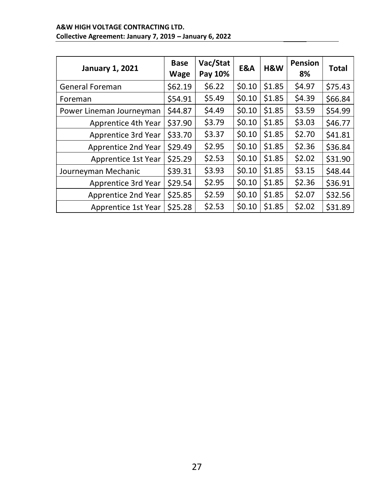#### A&W HIGH VOLTAGE CONTRACTING LTD. Collective Agreement: January 7, 2019 - January 6, 2022

| <b>January 1, 2021</b>     | <b>Base</b><br><b>Wage</b> | Vac/Stat<br>Pay 10% | E&A    | H&W    | <b>Pension</b><br>8% | <b>Total</b> |
|----------------------------|----------------------------|---------------------|--------|--------|----------------------|--------------|
| <b>General Foreman</b>     | \$62.19                    | \$6.22              | \$0.10 | \$1.85 | \$4.97               | \$75.43      |
| Foreman                    | \$54.91                    | \$5.49              | \$0.10 | \$1.85 | \$4.39               | \$66.84      |
| Power Lineman Journeyman   | \$44.87                    | \$4.49              | \$0.10 | \$1.85 | \$3.59               | \$54.99      |
| Apprentice 4th Year        | \$37.90                    | \$3.79              | \$0.10 | \$1.85 | \$3.03               | \$46.77      |
| <b>Apprentice 3rd Year</b> | \$33.70                    | \$3.37              | \$0.10 | \$1.85 | \$2.70               | \$41.81      |
| <b>Apprentice 2nd Year</b> | \$29.49                    | \$2.95              | \$0.10 | \$1.85 | \$2.36               | \$36.84      |
| <b>Apprentice 1st Year</b> | \$25.29                    | \$2.53              | \$0.10 | \$1.85 | \$2.02               | \$31.90      |
| Journeyman Mechanic        | \$39.31                    | \$3.93              | \$0.10 | \$1.85 | \$3.15               | \$48.44      |
| Apprentice 3rd Year        | \$29.54                    | \$2.95              | \$0.10 | \$1.85 | \$2.36               | \$36.91      |
| <b>Apprentice 2nd Year</b> | \$25.85                    | \$2.59              | \$0.10 | \$1.85 | \$2.07               | \$32.56      |
| <b>Apprentice 1st Year</b> | \$25.28                    | \$2.53              | \$0.10 | \$1.85 | \$2.02               | \$31.89      |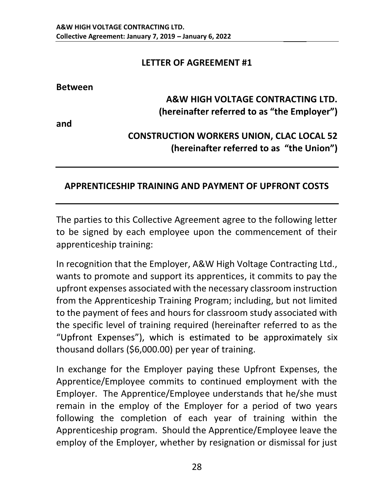#### LETTER OF AGREEMENT #1

#### Between

#### A&W HIGH VOLTAGE CONTRACTING LTD. (hereinafter referred to as "the Employer")

and

#### CONSTRUCTION WORKERS UNION, CLAC LOCAL 52 (hereinafter referred to as "the Union")

#### APPRENTICESHIP TRAINING AND PAYMENT OF UPFRONT COSTS

The parties to this Collective Agreement agree to the following letter to be signed by each employee upon the commencement of their apprenticeship training:

In recognition that the Employer, A&W High Voltage Contracting Ltd., wants to promote and support its apprentices, it commits to pay the upfront expenses associated with the necessary classroom instruction from the Apprenticeship Training Program; including, but not limited to the payment of fees and hours for classroom study associated with the specific level of training required (hereinafter referred to as the "Upfront Expenses"), which is estimated to be approximately six thousand dollars (\$6,000.00) per year of training.

In exchange for the Employer paying these Upfront Expenses, the Apprentice/Employee commits to continued employment with the Employer. The Apprentice/Employee understands that he/she must remain in the employ of the Employer for a period of two years following the completion of each year of training within the Apprenticeship program. Should the Apprentice/Employee leave the employ of the Employer, whether by resignation or dismissal for just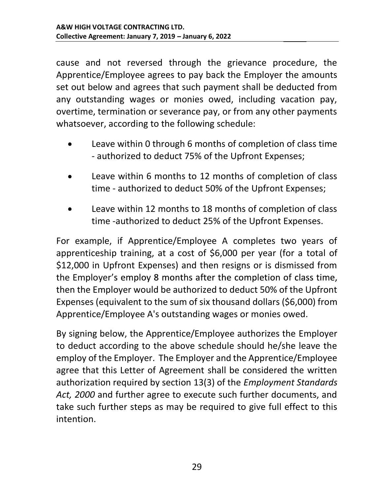cause and not reversed through the grievance procedure, the Apprentice/Employee agrees to pay back the Employer the amounts set out below and agrees that such payment shall be deducted from any outstanding wages or monies owed, including vacation pay, overtime, termination or severance pay, or from any other payments whatsoever, according to the following schedule:

- Leave within 0 through 6 months of completion of class time  $\bullet$ - authorized to deduct 75% of the Upfront Expenses;
- Leave within 6 months to 12 months of completion of class time - authorized to deduct 50% of the Upfront Expenses;
- Leave within 12 months to 18 months of completion of class time -authorized to deduct 25% of the Upfront Expenses.

For example, if Apprentice/Employee A completes two years of apprenticeship training, at a cost of \$6,000 per year (for a total of \$12,000 in Upfront Expenses) and then resigns or is dismissed from the Employer's employ 8 months after the completion of class time, then the Employer would be authorized to deduct 50% of the Upfront Expenses (equivalent to the sum of six thousand dollars (\$6,000) from Apprentice/Employee A's outstanding wages or monies owed.

By signing below, the Apprentice/Employee authorizes the Employer to deduct according to the above schedule should he/she leave the employ of the Employer. The Employer and the Apprentice/Employee agree that this Letter of Agreement shall be considered the written authorization required by section 13(3) of the Employment Standards Act, 2000 and further agree to execute such further documents, and take such further steps as may be required to give full effect to this intention.